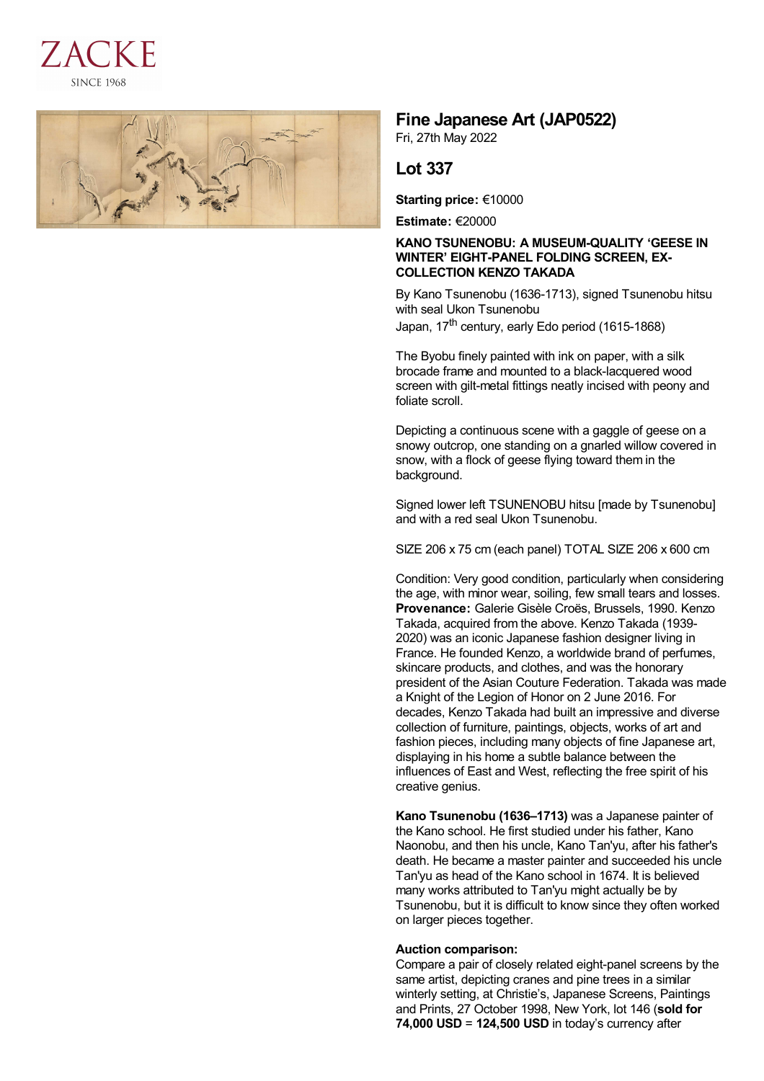



## **Fine Japanese Art (JAP0522)**

Fri, 27th May 2022

## **Lot 337**

**Starting price:** €10000

**Estimate:** €20000

## **KANO TSUNENOBU: A MUSEUM-QUALITY 'GEESE IN WINTER' EIGHT-PANEL FOLDING SCREEN, EX-COLLECTION KENZO TAKADA**

By Kano Tsunenobu (1636-1713), signed Tsunenobu hitsu with seal Ukon Tsunenobu Japan, 17<sup>th</sup> century, early Edo period (1615-1868)

The Byobu finely painted with ink on paper, with a silk brocade frame and mounted to a black-lacquered wood screen with gilt-metal fittings neatly incised with peony and foliate scroll.

Depicting a continuous scene with a gaggle of geese on a snowy outcrop, one standing on a gnarled willow covered in snow, with a flock of geese flying toward them in the background.

Signed lower left TSUNENOBU hitsu [made by Tsunenobu] and with a red seal Ukon Tsunenobu.

SIZE 206 x 75 cm (each panel) TOTAL SIZE 206 x 600 cm

Condition: Very good condition, particularly when considering the age, with minor wear, soiling, few small tears and losses. **Provenance:** Galerie Gisèle Croës, Brussels, 1990. Kenzo Takada, acquired from the above. Kenzo Takada (1939- 2020) was an iconic Japanese fashion designer living in France. He founded Kenzo, a worldwide brand of perfumes, skincare products, and clothes, and was the honorary president of the Asian Couture Federation. Takada was made a Knight of the Legion of Honor on 2 June 2016. For decades, Kenzo Takada had built an impressive and diverse collection of furniture, paintings, objects, works of art and fashion pieces, including many objects of fine Japanese art, displaying in his home a subtle balance between the influences of East and West, reflecting the free spirit of his creative genius.

**Kano Tsunenobu (1636–1713)** was a Japanese painter of the Kano school. He first studied under his father, Kano Naonobu, and then his uncle, Kano Tan'yu, after his father's death. He became a master painter and succeeded his uncle Tan'yu as head of the Kano school in 1674. It is believed many works attributed to Tan'yu might actually be by Tsunenobu, but it is difficult to know since they often worked on larger pieces together.

## **Auction comparison:**

Compare a pair of closely related eight-panel screens by the same artist, depicting cranes and pine trees in a similar winterly setting, at Christie's, Japanese Screens, Paintings and Prints, 27 October 1998, New York, lot 146 (**sold for 74,000 USD** = **124,500 USD** in today's currency after